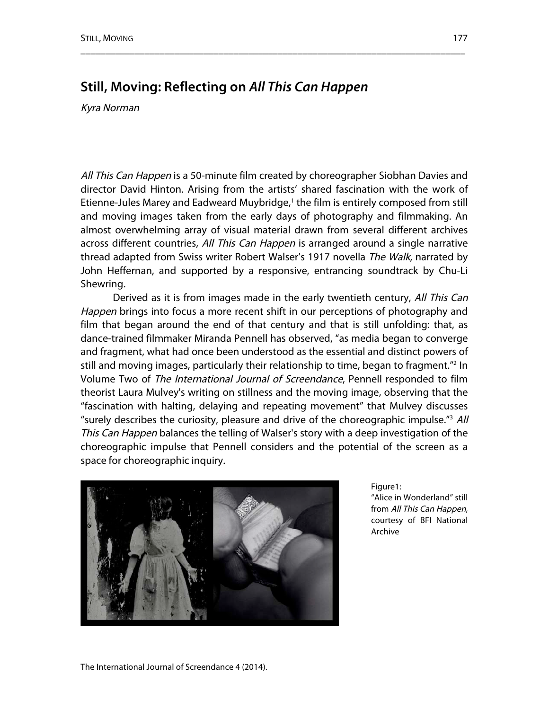## **Still, Moving: Reflecting on** *All This Can Happen*

Kyra Norman

All This Can Happen is a 50-minute film created by choreographer Siobhan Davies and director David Hinton. Arising from the artists' shared fascination with the work of Etienne-Jules Marey and Eadweard Muybridge, <sup>1</sup> the film is entirely composed from still and moving images taken from the early days of photography and filmmaking. An almost overwhelming array of visual material drawn from several different archives across different countries, All This Can Happen is arranged around a single narrative thread adapted from Swiss writer Robert Walser's 1917 novella The Walk, narrated by John Heffernan, and supported by a responsive, entrancing soundtrack by Chu-Li Shewring.

\_\_\_\_\_\_\_\_\_\_\_\_\_\_\_\_\_\_\_\_\_\_\_\_\_\_\_\_\_\_\_\_\_\_\_\_\_\_\_\_\_\_\_\_\_\_\_\_\_\_\_\_\_\_\_\_\_\_\_\_\_\_\_\_\_\_\_\_\_\_\_\_\_\_\_\_\_\_

Derived as it is from images made in the early twentieth century, All This Can Happen brings into focus a more recent shift in our perceptions of photography and film that began around the end of that century and that is still unfolding: that, as dance-trained filmmaker Miranda Pennell has observed, "as media began to converge and fragment, what had once been understood as the essential and distinct powers of still and moving images, particularly their relationship to time, began to fragment."2 In Volume Two of The International Journal of Screendance, Pennell responded to film theorist Laura Mulvey's writing on stillness and the moving image, observing that the "fascination with halting, delaying and repeating movement" that Mulvey discusses "surely describes the curiosity, pleasure and drive of the choreographic impulse."3 All This Can Happen balances the telling of Walser's story with a deep investigation of the choreographic impulse that Pennell considers and the potential of the screen as a space for choreographic inquiry.



Figure1: "Alice in Wonderland" still from All This Can Happen, courtesy of BFI National Archive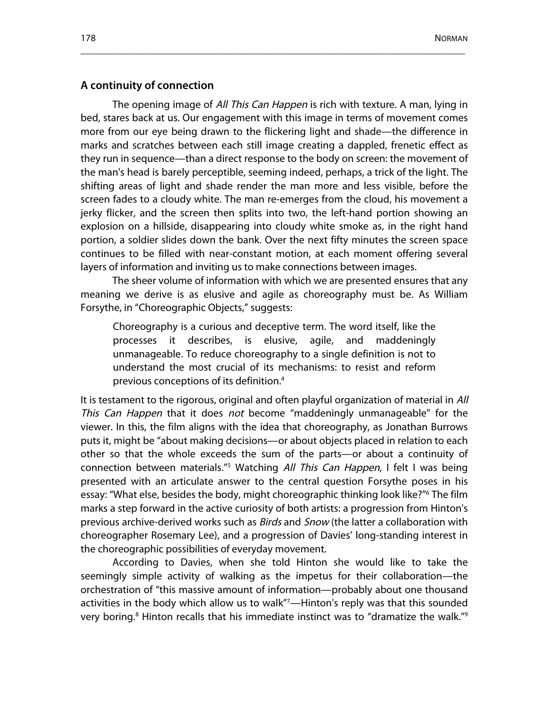#### **A continuity of connection**

The opening image of All This Can Happen is rich with texture. A man, lying in bed, stares back at us. Our engagement with this image in terms of movement comes more from our eye being drawn to the flickering light and shade—the difference in marks and scratches between each still image creating a dappled, frenetic effect as they run in sequence—than a direct response to the body on screen: the movement of the man's head is barely perceptible, seeming indeed, perhaps, a trick of the light. The shifting areas of light and shade render the man more and less visible, before the screen fades to a cloudy white. The man re-emerges from the cloud, his movement a jerky flicker, and the screen then splits into two, the left-hand portion showing an explosion on a hillside, disappearing into cloudy white smoke as, in the right hand portion, a soldier slides down the bank. Over the next fifty minutes the screen space continues to be filled with near-constant motion, at each moment offering several layers of information and inviting us to make connections between images.

\_\_\_\_\_\_\_\_\_\_\_\_\_\_\_\_\_\_\_\_\_\_\_\_\_\_\_\_\_\_\_\_\_\_\_\_\_\_\_\_\_\_\_\_\_\_\_\_\_\_\_\_\_\_\_\_\_\_\_\_\_\_\_\_\_\_\_\_\_\_\_\_\_\_\_\_\_\_

The sheer volume of information with which we are presented ensures that any meaning we derive is as elusive and agile as choreography must be. As William Forsythe, in "Choreographic Objects," suggests:

Choreography is a curious and deceptive term. The word itself, like the processes it describes, is elusive, agile, and maddeningly unmanageable. To reduce choreography to a single definition is not to understand the most crucial of its mechanisms: to resist and reform previous conceptions of its definition.4

It is testament to the rigorous, original and often playful organization of material in All This Can Happen that it does not become "maddeningly unmanageable" for the viewer. In this, the film aligns with the idea that choreography, as Jonathan Burrows puts it, might be "about making decisions—or about objects placed in relation to each other so that the whole exceeds the sum of the parts—or about a continuity of connection between materials.<sup>"5</sup> Watching All This Can Happen, I felt I was being presented with an articulate answer to the central question Forsythe poses in his essay: "What else, besides the body, might choreographic thinking look like?"6 The film marks a step forward in the active curiosity of both artists: a progression from Hinton's previous archive-derived works such as *Birds* and *Snow* (the latter a collaboration with choreographer Rosemary Lee), and a progression of Davies' long-standing interest in the choreographic possibilities of everyday movement.

According to Davies, when she told Hinton she would like to take the seemingly simple activity of walking as the impetus for their collaboration—the orchestration of "this massive amount of information—probably about one thousand activities in the body which allow us to walk"7 —Hinton's reply was that this sounded very boring. <sup>8</sup> Hinton recalls that his immediate instinct was to "dramatize the walk."9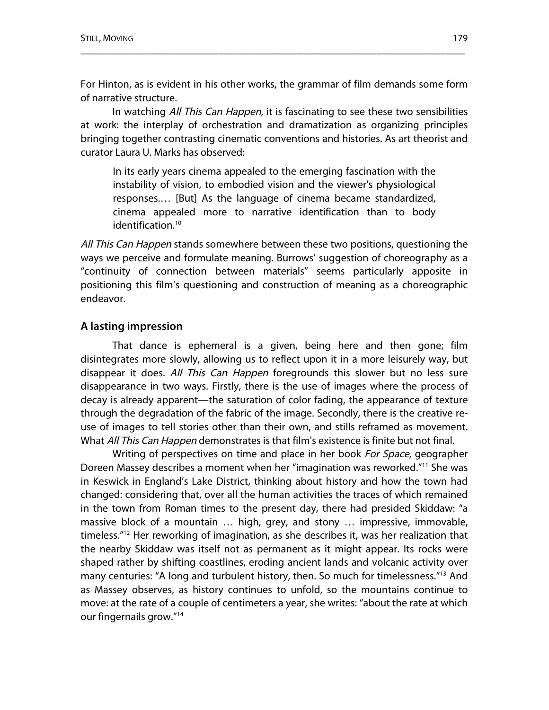For Hinton, as is evident in his other works, the grammar of film demands some form of narrative structure.

\_\_\_\_\_\_\_\_\_\_\_\_\_\_\_\_\_\_\_\_\_\_\_\_\_\_\_\_\_\_\_\_\_\_\_\_\_\_\_\_\_\_\_\_\_\_\_\_\_\_\_\_\_\_\_\_\_\_\_\_\_\_\_\_\_\_\_\_\_\_\_\_\_\_\_\_\_\_

In watching All This Can Happen, it is fascinating to see these two sensibilities at work: the interplay of orchestration and dramatization as organizing principles bringing together contrasting cinematic conventions and histories. As art theorist and curator Laura U. Marks has observed:

In its early years cinema appealed to the emerging fascination with the instability of vision, to embodied vision and the viewer's physiological responses.… [But] As the language of cinema became standardized, cinema appealed more to narrative identification than to body identification.<sup>10</sup>

All This Can Happen stands somewhere between these two positions, questioning the ways we perceive and formulate meaning. Burrows' suggestion of choreography as a "continuity of connection between materials" seems particularly apposite in positioning this film's questioning and construction of meaning as a choreographic endeavor.

#### **A lasting impression**

That dance is ephemeral is a given, being here and then gone; film disintegrates more slowly, allowing us to reflect upon it in a more leisurely way, but disappear it does. All This Can Happen foregrounds this slower but no less sure disappearance in two ways. Firstly, there is the use of images where the process of decay is already apparent—the saturation of color fading, the appearance of texture through the degradation of the fabric of the image. Secondly, there is the creative reuse of images to tell stories other than their own, and stills reframed as movement. What All This Can Happen demonstrates is that film's existence is finite but not final.

Writing of perspectives on time and place in her book For Space, geographer Doreen Massey describes a moment when her "imagination was reworked."11 She was in Keswick in England's Lake District, thinking about history and how the town had changed: considering that, over all the human activities the traces of which remained in the town from Roman times to the present day, there had presided Skiddaw: "a massive block of a mountain … high, grey, and stony … impressive, immovable, timeless."12 Her reworking of imagination, as she describes it, was her realization that the nearby Skiddaw was itself not as permanent as it might appear. Its rocks were shaped rather by shifting coastlines, eroding ancient lands and volcanic activity over many centuries: "A long and turbulent history, then. So much for timelessness."<sup>13</sup> And as Massey observes, as history continues to unfold, so the mountains continue to move: at the rate of a couple of centimeters a year, she writes: "about the rate at which our fingernails grow."14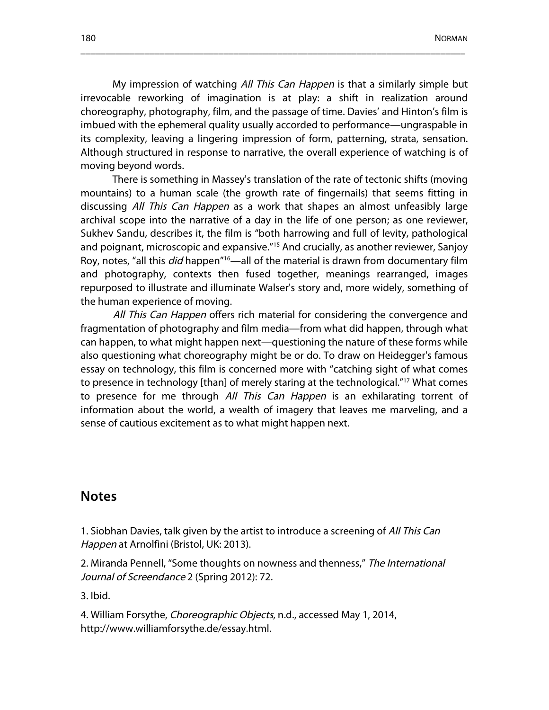My impression of watching All This Can Happen is that a similarly simple but irrevocable reworking of imagination is at play: a shift in realization around choreography, photography, film, and the passage of time. Davies' and Hinton's film is imbued with the ephemeral quality usually accorded to performance—ungraspable in its complexity, leaving a lingering impression of form, patterning, strata, sensation. Although structured in response to narrative, the overall experience of watching is of moving beyond words.

\_\_\_\_\_\_\_\_\_\_\_\_\_\_\_\_\_\_\_\_\_\_\_\_\_\_\_\_\_\_\_\_\_\_\_\_\_\_\_\_\_\_\_\_\_\_\_\_\_\_\_\_\_\_\_\_\_\_\_\_\_\_\_\_\_\_\_\_\_\_\_\_\_\_\_\_\_\_

There is something in Massey's translation of the rate of tectonic shifts (moving mountains) to a human scale (the growth rate of fingernails) that seems fitting in discussing All This Can Happen as a work that shapes an almost unfeasibly large archival scope into the narrative of a day in the life of one person; as one reviewer, Sukhev Sandu, describes it, the film is "both harrowing and full of levity, pathological and poignant, microscopic and expansive."15 And crucially, as another reviewer, Sanjoy Roy, notes, "all this *did* happen<sup>"16</sup>—all of the material is drawn from documentary film and photography, contexts then fused together, meanings rearranged, images repurposed to illustrate and illuminate Walser's story and, more widely, something of the human experience of moving.

All This Can Happen offers rich material for considering the convergence and fragmentation of photography and film media—from what did happen, through what can happen, to what might happen next—questioning the nature of these forms while also questioning what choreography might be or do. To draw on Heidegger's famous essay on technology, this film is concerned more with "catching sight of what comes to presence in technology [than] of merely staring at the technological."17 What comes to presence for me through All This Can Happen is an exhilarating torrent of information about the world, a wealth of imagery that leaves me marveling, and a sense of cautious excitement as to what might happen next.

### **Notes**

1. Siobhan Davies, talk given by the artist to introduce a screening of All This Can Happen at Arnolfini (Bristol, UK: 2013).

2. Miranda Pennell, "Some thoughts on nowness and thenness," The International Journal of Screendance 2 (Spring 2012): 72.

3. Ibid.

4. William Forsythe, Choreographic Objects, n.d., accessed May 1, 2014, http://www.williamforsythe.de/essay.html.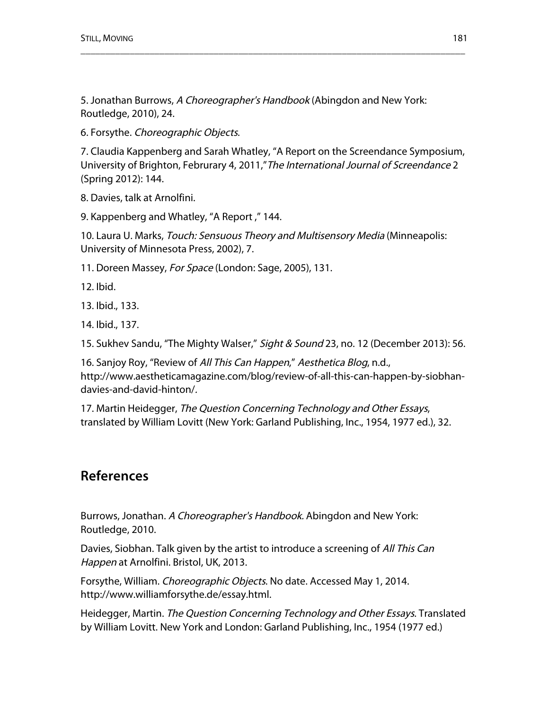5. Jonathan Burrows, A Choreographer's Handbook (Abingdon and New York: Routledge, 2010), 24.

6. Forsythe. Choreographic Objects.

7. Claudia Kappenberg and Sarah Whatley, "A Report on the Screendance Symposium, University of Brighton, Februrary 4, 2011,"The International Journal of Screendance 2 (Spring 2012): 144.

\_\_\_\_\_\_\_\_\_\_\_\_\_\_\_\_\_\_\_\_\_\_\_\_\_\_\_\_\_\_\_\_\_\_\_\_\_\_\_\_\_\_\_\_\_\_\_\_\_\_\_\_\_\_\_\_\_\_\_\_\_\_\_\_\_\_\_\_\_\_\_\_\_\_\_\_\_\_

8. Davies, talk at Arnolfini.

9. Kappenberg and Whatley, "A Report ," 144.

10. Laura U. Marks, Touch: Sensuous Theory and Multisensory Media (Minneapolis: University of Minnesota Press, 2002), 7.

11. Doreen Massey, For Space (London: Sage, 2005), 131.

12. Ibid.

13. Ibid., 133.

14. Ibid., 137.

15. Sukhev Sandu, "The Mighty Walser," Sight & Sound 23, no. 12 (December 2013): 56.

16. Sanjoy Roy, "Review of All This Can Happen," Aesthetica Blog, n.d., http://www.aestheticamagazine.com/blog/review-of-all-this-can-happen-by-siobhandavies-and-david-hinton/.

17. Martin Heidegger, The Question Concerning Technology and Other Essays, translated by William Lovitt (New York: Garland Publishing, Inc., 1954, 1977 ed.), 32.

# **References**

Burrows, Jonathan. A Choreographer's Handbook. Abingdon and New York: Routledge, 2010.

Davies, Siobhan. Talk given by the artist to introduce a screening of All This Can Happen at Arnolfini. Bristol, UK, 2013.

Forsythe, William. Choreographic Objects. No date. Accessed May 1, 2014. http://www.williamforsythe.de/essay.html.

Heidegger, Martin. The Question Concerning Technology and Other Essays. Translated by William Lovitt. New York and London: Garland Publishing, Inc., 1954 (1977 ed.)